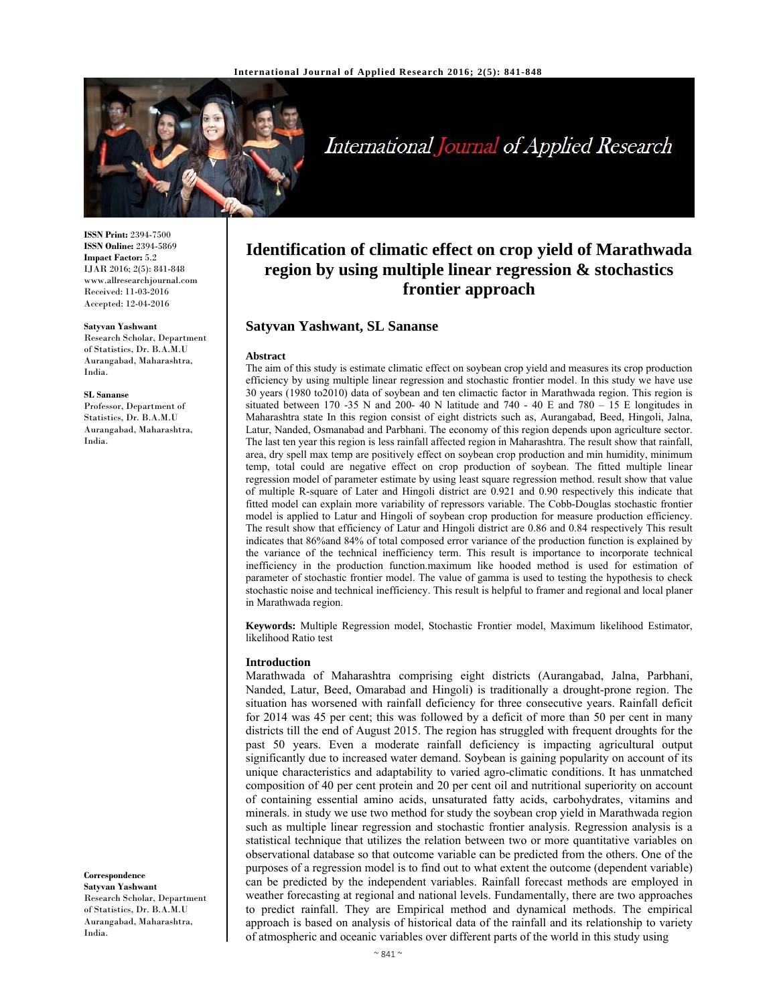

# International Journal of Applied Research

**ISSN Print:** 2394-7500 **ISSN Online:** 2394-5869 **Impact Factor:** 5.2 IJAR 2016; 2(5): 841-848 www.allresearchjournal.com Received: 11-03-2016 Accepted: 12-04-2016

#### **Satyvan Yashwant**

Research Scholar, Department of Statistics, Dr. B.A.M.U Aurangabad, Maharashtra, India.

#### **SL Sananse**

Professor, Department of Statistics, Dr. B.A.M.U Aurangabad, Maharashtra, India.

#### **Correspondence**

**Satyvan Yashwant**  Research Scholar, Department of Statistics, Dr. B.A.M.U Aurangabad, Maharashtra, India.

# **Identification of climatic effect on crop yield of Marathwada region by using multiple linear regression & stochastics frontier approach**

# **Satyvan Yashwant, SL Sananse**

#### **Abstract**

The aim of this study is estimate climatic effect on soybean crop yield and measures its crop production efficiency by using multiple linear regression and stochastic frontier model. In this study we have use 30 years (1980 to2010) data of soybean and ten climactic factor in Marathwada region. This region is situated between 170 -35 N and 200- 40 N latitude and 740 - 40 E and 780 - 15 E longitudes in Maharashtra state In this region consist of eight districts such as, Aurangabad, Beed, Hingoli, Jalna, Latur, Nanded, Osmanabad and Parbhani. The economy of this region depends upon agriculture sector. The last ten year this region is less rainfall affected region in Maharashtra. The result show that rainfall, area, dry spell max temp are positively effect on soybean crop production and min humidity, minimum temp, total could are negative effect on crop production of soybean. The fitted multiple linear regression model of parameter estimate by using least square regression method. result show that value of multiple R-square of Later and Hingoli district are 0.921 and 0.90 respectively this indicate that fitted model can explain more variability of repressors variable. The Cobb-Douglas stochastic frontier model is applied to Latur and Hingoli of soybean crop production for measure production efficiency. The result show that efficiency of Latur and Hingoli district are 0.86 and 0.84 respectively This result indicates that 86%and 84% of total composed error variance of the production function is explained by the variance of the technical inefficiency term. This result is importance to incorporate technical inefficiency in the production function.maximum like hooded method is used for estimation of parameter of stochastic frontier model. The value of gamma is used to testing the hypothesis to check stochastic noise and technical inefficiency. This result is helpful to framer and regional and local planer in Marathwada region.

**Keywords:** Multiple Regression model, Stochastic Frontier model, Maximum likelihood Estimator, likelihood Ratio test

#### **Introduction**

Marathwada of Maharashtra comprising eight districts (Aurangabad, Jalna, Parbhani, Nanded, Latur, Beed, Omarabad and Hingoli) is traditionally a drought-prone region. The situation has worsened with rainfall deficiency for three consecutive years. Rainfall deficit for 2014 was 45 per cent; this was followed by a deficit of more than 50 per cent in many districts till the end of August 2015. The region has struggled with frequent droughts for the past 50 years. Even a moderate rainfall deficiency is impacting agricultural output significantly due to increased water demand. Soybean is gaining popularity on account of its unique characteristics and adaptability to varied agro-climatic conditions. It has unmatched composition of 40 per cent protein and 20 per cent oil and nutritional superiority on account of containing essential amino acids, unsaturated fatty acids, carbohydrates, vitamins and minerals. in study we use two method for study the soybean crop yield in Marathwada region such as multiple linear regression and stochastic frontier analysis. Regression analysis is a statistical technique that utilizes the relation between two or more quantitative variables on observational database so that outcome variable can be predicted from the others. One of the purposes of a regression model is to find out to what extent the outcome (dependent variable) can be predicted by the independent variables. Rainfall forecast methods are employed in weather forecasting at regional and national levels. Fundamentally, there are two approaches to predict rainfall. They are Empirical method and dynamical methods. The empirical approach is based on analysis of historical data of the rainfall and its relationship to variety of atmospheric and oceanic variables over different parts of the world in this study using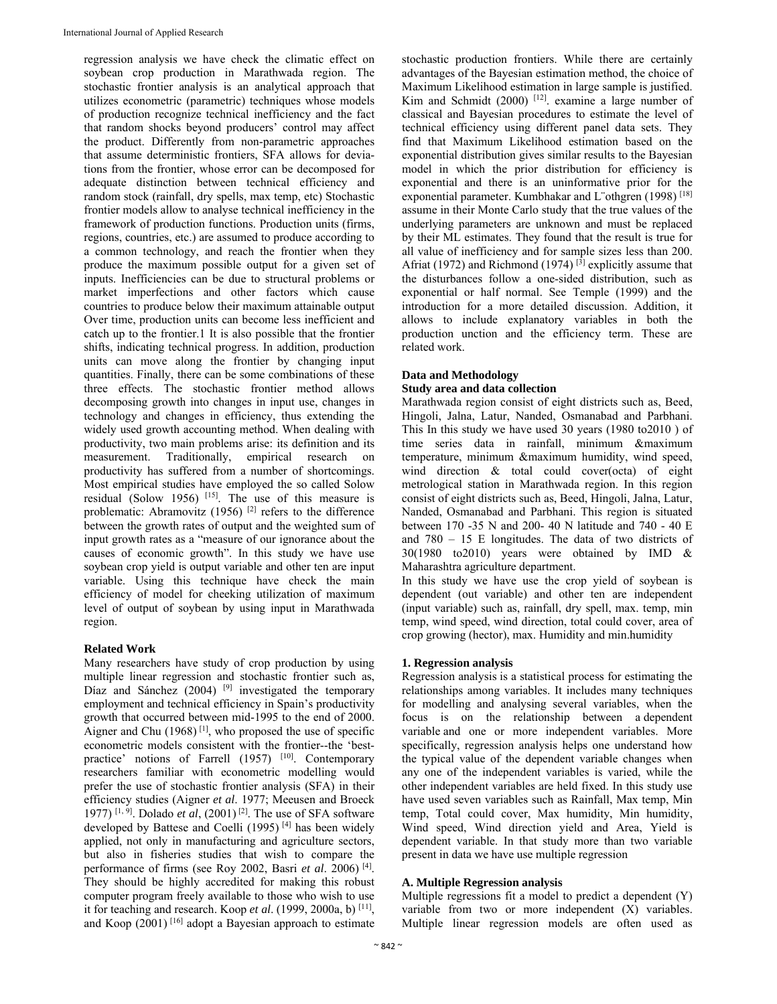regression analysis we have check the climatic effect on soybean crop production in Marathwada region. The stochastic frontier analysis is an analytical approach that utilizes econometric (parametric) techniques whose models of production recognize technical inefficiency and the fact that random shocks beyond producers' control may affect the product. Differently from non-parametric approaches that assume deterministic frontiers, SFA allows for deviations from the frontier, whose error can be decomposed for adequate distinction between technical efficiency and random stock (rainfall, dry spells, max temp, etc) Stochastic frontier models allow to analyse technical inefficiency in the framework of production functions. Production units (firms, regions, countries, etc.) are assumed to produce according to a common technology, and reach the frontier when they produce the maximum possible output for a given set of inputs. Inefficiencies can be due to structural problems or market imperfections and other factors which cause countries to produce below their maximum attainable output Over time, production units can become less inefficient and catch up to the frontier.1 It is also possible that the frontier shifts, indicating technical progress. In addition, production units can move along the frontier by changing input quantities. Finally, there can be some combinations of these three effects. The stochastic frontier method allows decomposing growth into changes in input use, changes in technology and changes in efficiency, thus extending the widely used growth accounting method. When dealing with productivity, two main problems arise: its definition and its measurement. Traditionally, empirical research on productivity has suffered from a number of shortcomings. Most empirical studies have employed the so called Solow residual (Solow 1956) [15]. The use of this measure is problematic: Abramovitz (1956) [2] refers to the difference between the growth rates of output and the weighted sum of input growth rates as a "measure of our ignorance about the causes of economic growth". In this study we have use soybean crop yield is output variable and other ten are input variable. Using this technique have check the main efficiency of model for cheeking utilization of maximum level of output of soybean by using input in Marathwada region.

# **Related Work**

Many researchers have study of crop production by using multiple linear regression and stochastic frontier such as, Díaz and Sánchez (2004)<sup>[9]</sup> investigated the temporary employment and technical efficiency in Spain's productivity growth that occurred between mid-1995 to the end of 2000. Aigner and Chu  $(1968)$ <sup>[1]</sup>, who proposed the use of specific econometric models consistent with the frontier--the 'bestpractice' notions of Farrell (1957) [10]. Contemporary researchers familiar with econometric modelling would prefer the use of stochastic frontier analysis (SFA) in their efficiency studies (Aigner *et al*. 1977; Meeusen and Broeck 1977) <sup>[1, 9]</sup>. Dolado *et al*,  $(2001)$ <sup>[2]</sup>. The use of SFA software developed by Battese and Coelli (1995) [4] has been widely applied, not only in manufacturing and agriculture sectors, but also in fisheries studies that wish to compare the performance of firms (see Roy 2002, Basri *et al*. 2006) [4]. They should be highly accredited for making this robust computer program freely available to those who wish to use it for teaching and research. Koop *et al*. (1999, 2000a, b) [11], and Koop  $(2001)$ <sup>[16]</sup> adopt a Bayesian approach to estimate

stochastic production frontiers. While there are certainly advantages of the Bayesian estimation method, the choice of Maximum Likelihood estimation in large sample is justified. Kim and Schmidt  $(2000)$ <sup>[12]</sup>. examine a large number of classical and Bayesian procedures to estimate the level of technical efficiency using different panel data sets. They find that Maximum Likelihood estimation based on the exponential distribution gives similar results to the Bayesian model in which the prior distribution for efficiency is exponential and there is an uninformative prior for the exponential parameter. Kumbhakar and L"othgren (1998)<sup>[18]</sup> assume in their Monte Carlo study that the true values of the underlying parameters are unknown and must be replaced by their ML estimates. They found that the result is true for all value of inefficiency and for sample sizes less than 200. Afriat (1972) and Richmond (1974)<sup>[3]</sup> explicitly assume that the disturbances follow a one-sided distribution, such as exponential or half normal. See Temple (1999) and the introduction for a more detailed discussion. Addition, it allows to include explanatory variables in both the production unction and the efficiency term. These are related work.

#### **Data and Methodology**

#### **Study area and data collection**

Marathwada region consist of eight districts such as, Beed, Hingoli, Jalna, Latur, Nanded, Osmanabad and Parbhani. This In this study we have used 30 years (1980 to2010 ) of time series data in rainfall, minimum &maximum temperature, minimum &maximum humidity, wind speed, wind direction & total could cover(octa) of eight metrological station in Marathwada region. In this region consist of eight districts such as, Beed, Hingoli, Jalna, Latur, Nanded, Osmanabad and Parbhani. This region is situated between 170 -35 N and 200- 40 N latitude and 740 - 40 E and 780 – 15 E longitudes. The data of two districts of 30(1980 to2010) years were obtained by IMD & Maharashtra agriculture department.

In this study we have use the crop yield of soybean is dependent (out variable) and other ten are independent (input variable) such as, rainfall, dry spell, max. temp, min temp, wind speed, wind direction, total could cover, area of crop growing (hector), max. Humidity and min.humidity

#### **1. Regression analysis**

Regression analysis is a statistical process for estimating the relationships among variables. It includes many techniques for modelling and analysing several variables, when the focus is on the relationship between a dependent variable and one or more independent variables. More specifically, regression analysis helps one understand how the typical value of the dependent variable changes when any one of the independent variables is varied, while the other independent variables are held fixed. In this study use have used seven variables such as Rainfall, Max temp, Min temp, Total could cover, Max humidity, Min humidity, Wind speed, Wind direction yield and Area, Yield is dependent variable. In that study more than two variable present in data we have use multiple regression

# **A. Multiple Regression analysis**

Multiple regressions fit a model to predict a dependent (Y) variable from two or more independent (X) variables. Multiple linear regression models are often used as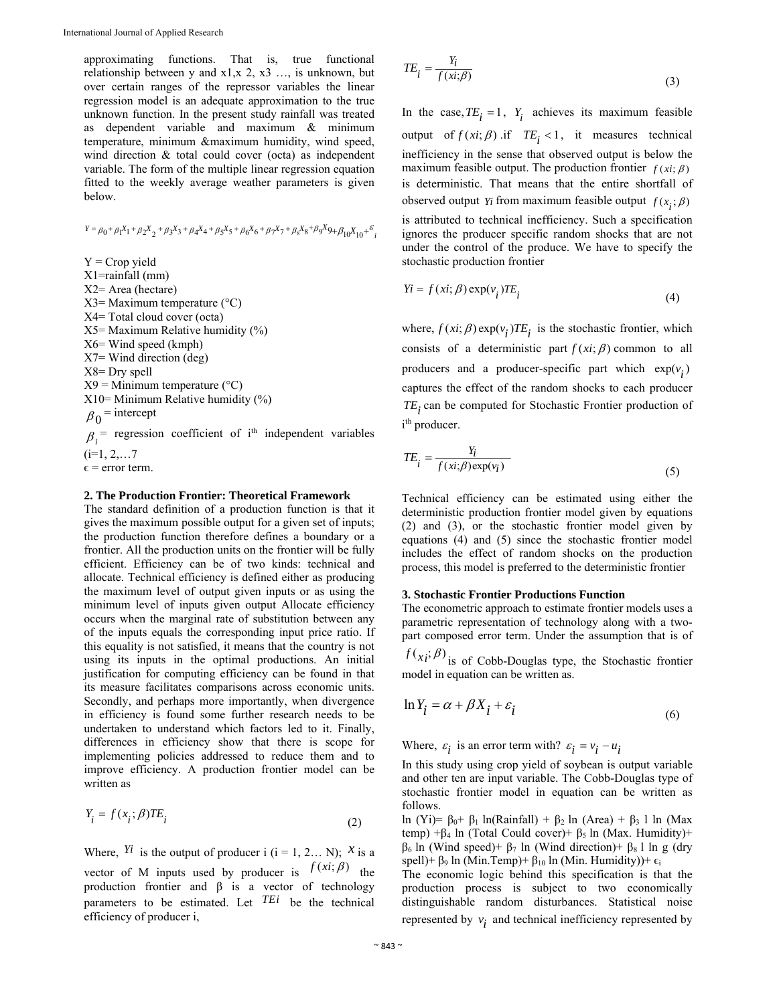approximating functions. That is, true functional relationship between y and x1,x 2, x3 …, is unknown, but over certain ranges of the repressor variables the linear regression model is an adequate approximation to the true unknown function. In the present study rainfall was treated as dependent variable and maximum & minimum temperature, minimum &maximum humidity, wind speed, wind direction & total could cover (octa) as independent variable. The form of the multiple linear regression equation fitted to the weekly average weather parameters is given below.

$$
Y = \beta_0 + \beta_1 X_1 + \beta_2 X_2 + \beta_3 X_3 + \beta_4 X_4 + \beta_5 X_5 + \beta_6 X_6 + \beta_7 X_7 + \beta_8 X_8 + \beta_9 X_9 + \beta_{10} X_{10} + \varepsilon_{i}
$$

 $Y =$  Crop yield X1=rainfall (mm) X2= Area (hectare)  $X3=$  Maximum temperature ( $\rm ^{\circ}C)$ X4= Total cloud cover (octa) X5= Maximum Relative humidity (%) X6= Wind speed (kmph) X7= Wind direction (deg) X8= Dry spell  $X9 =$ Minimum temperature (°C)  $X10=$  Minimum Relative humidity  $(\% )$  $\beta_0$  = intercept  $\beta_i$ <sup>=</sup> regression coefficient of i<sup>th</sup> independent variables  $(i=1, 2, \ldots 7)$  $\epsilon$  = error term.

#### **2. The Production Frontier: Theoretical Framework**

The standard definition of a production function is that it gives the maximum possible output for a given set of inputs; the production function therefore defines a boundary or a frontier. All the production units on the frontier will be fully efficient. Efficiency can be of two kinds: technical and allocate. Technical efficiency is defined either as producing the maximum level of output given inputs or as using the minimum level of inputs given output Allocate efficiency occurs when the marginal rate of substitution between any of the inputs equals the corresponding input price ratio. If this equality is not satisfied, it means that the country is not using its inputs in the optimal productions. An initial justification for computing efficiency can be found in that its measure facilitates comparisons across economic units. Secondly, and perhaps more importantly, when divergence in efficiency is found some further research needs to be undertaken to understand which factors led to it. Finally, differences in efficiency show that there is scope for implementing policies addressed to reduce them and to improve efficiency. A production frontier model can be written as

$$
Y_i = f(x_i; \beta)TE_i
$$
\n<sup>(2)</sup>

Where,  $Y_i$  is the output of producer i (i = 1, 2... N);  $X_i$  is a vector of M inputs used by producer is  $f(xi; \beta)$  the production frontier and  $\beta$  is a vector of technology parameters to be estimated. Let *TEi* be the technical efficiency of producer i,

$$
TE_i = \frac{Y_i}{f(xi;\beta)}
$$
\n(3)

In the case,  $TE_i = 1$ ,  $Y_i$  achieves its maximum feasible output of  $f(xi; \beta)$  if  $TE_i < 1$ , it measures technical inefficiency in the sense that observed output is below the maximum feasible output. The production frontier  $f(x_i; \beta)$ is deterministic. That means that the entire shortfall of observed output *Yi* from maximum feasible output  $f(x,;\beta)$ 

is attributed to technical inefficiency. Such a specification ignores the producer specific random shocks that are not under the control of the produce. We have to specify the stochastic production frontier

$$
Yi = f(xi; \beta) \exp(v_i) TE_i
$$
\n(4)

where,  $f(x_i; \beta) \exp(v_i) T E_i$  is the stochastic frontier, which consists of a deterministic part  $f (xi; \beta)$  common to all producers and a producer-specific part which  $exp(v_i)$ captures the effect of the random shocks to each producer TE<sub>i</sub> can be computed for Stochastic Frontier production of i<sup>th</sup> producer.

$$
TE_i = \frac{Y_i}{f(xi;\beta) \exp(v_i)}
$$
\n(5)

Technical efficiency can be estimated using either the deterministic production frontier model given by equations (2) and (3), or the stochastic frontier model given by equations (4) and (5) since the stochastic frontier model includes the effect of random shocks on the production process, this model is preferred to the deterministic frontier

#### **3. Stochastic Frontier Productions Function**

The econometric approach to estimate frontier models uses a parametric representation of technology along with a twopart composed error term. Under the assumption that is of

 $f(x_i;\beta)$  is of Cobb-Douglas type, the Stochastic frontier model in equation can be written as.

$$
\ln Y_i = \alpha + \beta X_i + \varepsilon_i \tag{6}
$$

Where,  $\varepsilon_i$  is an error term with?  $\varepsilon_i = v_i - u_i$ 

In this study using crop yield of soybean is output variable and other ten are input variable. The Cobb-Douglas type of stochastic frontier model in equation can be written as follows.

ln (Yi)=  $\beta_0$ +  $\beta_1$  ln(Rainfall) +  $\beta_2$  ln (Area) +  $\beta_3$  l ln (Max temp) +β<sub>4</sub> ln (Total Could cover)+ β<sub>5</sub> ln (Max. Humidity)+ β6 ln (Wind speed)+ β7 ln (Wind direction)+ β8 l ln g (dry spell)+  $\beta_9$  ln (Min.Temp)+  $\beta_{10}$  ln (Min. Humidity))+  $\epsilon_i$ 

The economic logic behind this specification is that the production process is subject to two economically distinguishable random disturbances. Statistical noise represented by  $v_i$  and technical inefficiency represented by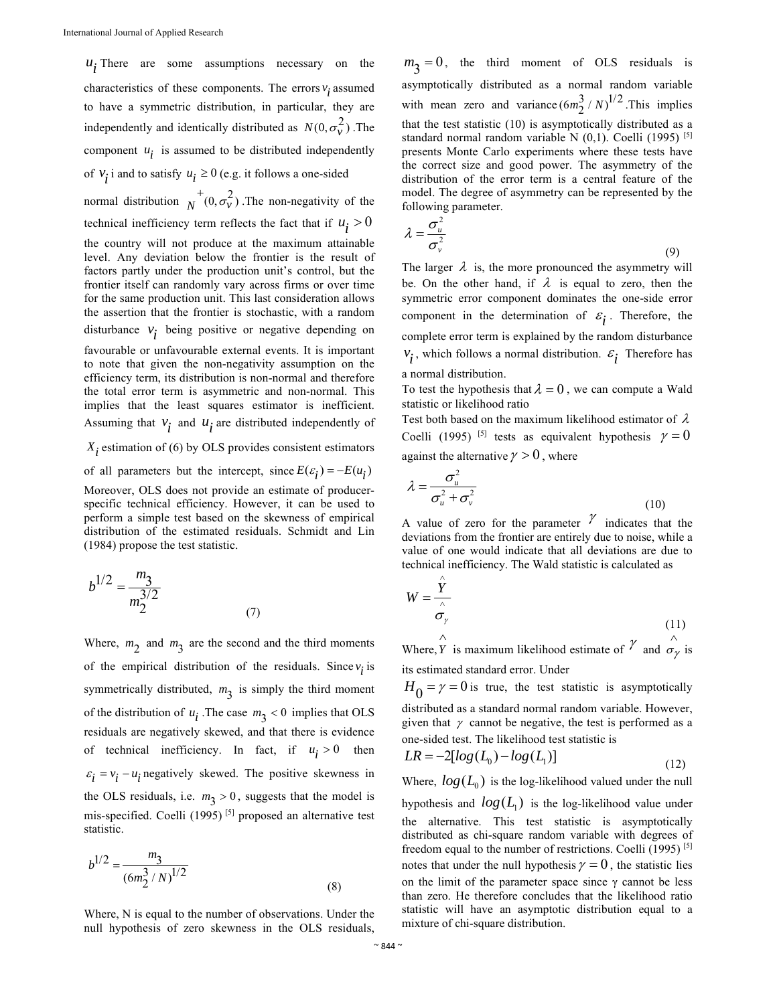$u_i$ ; There are some assumptions necessary on the characteristics of these components. The errors  $v_i$  assumed to have a symmetric distribution, in particular, they are independently and identically distributed as  $N(0, \sigma_v^2)$ . The component  $u_i$  is assumed to be distributed independently of  $v_i$  i and to satisfy  $u_i \ge 0$  (e.g. it follows a one-sided normal distribution  $\overline{N}^+(0, \sigma_v^2)$ . The non-negativity of the technical inefficiency term reflects the fact that if  $u_i > 0$ the country will not produce at the maximum attainable level. Any deviation below the frontier is the result of factors partly under the production unit's control, but the frontier itself can randomly vary across firms or over time for the same production unit. This last consideration allows the assertion that the frontier is stochastic, with a random disturbance  $v_i$  being positive or negative depending on favourable or unfavourable external events. It is important to note that given the non-negativity assumption on the efficiency term, its distribution is non-normal and therefore

the total error term is asymmetric and non-normal. This implies that the least squares estimator is inefficient. Assuming that  $v_i$  and  $u_i$  are distributed independently of

 $X_i$  estimation of (6) by OLS provides consistent estimators

of all parameters but the intercept, since  $E(\varepsilon_i) = -E(u_i)$ 

Moreover, OLS does not provide an estimate of producerspecific technical efficiency. However, it can be used to perform a simple test based on the skewness of empirical distribution of the estimated residuals. Schmidt and Lin (1984) propose the test statistic.

$$
b^{1/2} = \frac{m_3}{m_2^{3/2}}
$$
 (7)

Where,  $m_2$  and  $m_3$  are the second and the third moments of the empirical distribution of the residuals. Since  $v_i$  is symmetrically distributed,  $m<sub>3</sub>$  is simply the third moment of the distribution of  $u_i$ . The case  $m_3 < 0$  implies that OLS residuals are negatively skewed, and that there is evidence of technical inefficiency. In fact, if  $u_i > 0$  then  $\varepsilon_i = v_i - u_i$  negatively skewed. The positive skewness in the OLS residuals, i.e.  $m_2 > 0$ , suggests that the model is mis-specified. Coelli (1995) [5] proposed an alternative test statistic.

$$
b^{1/2} = \frac{m_3}{(6m_2^3/N)^{1/2}}
$$
 (8)

Where, N is equal to the number of observations. Under the null hypothesis of zero skewness in the OLS residuals,

 $m_2 = 0$ , the third moment of OLS residuals is asymptotically distributed as a normal random variable with mean zero and variance  $(6m_2^3/N)^{1/2}$ . This implies that the test statistic (10) is asymptotically distributed as a standard normal random variable N (0,1). Coelli (1995) [5] presents Monte Carlo experiments where these tests have the correct size and good power. The asymmetry of the distribution of the error term is a central feature of the model. The degree of asymmetry can be represented by the following parameter.

$$
\lambda = \frac{\sigma_u^2}{\sigma_v^2} \tag{9}
$$

The larger  $\lambda$  is, the more pronounced the asymmetry will be. On the other hand, if  $\lambda$  is equal to zero, then the symmetric error component dominates the one-side error component in the determination of  $\varepsilon_i$ . Therefore, the complete error term is explained by the random disturbance  $v_i$ , which follows a normal distribution.  $\varepsilon_i$  Therefore has a normal distribution.

To test the hypothesis that  $\lambda = 0$ , we can compute a Wald statistic or likelihood ratio

Test both based on the maximum likelihood estimator of  $\lambda$ Coelli (1995) <sup>[5]</sup> tests as equivalent hypothesis  $\gamma = 0$ against the alternative  $\gamma > 0$ , where

$$
\lambda = \frac{\sigma_u^2}{\sigma_u^2 + \sigma_v^2}
$$
\n(10)

A value of zero for the parameter  $\gamma$  indicates that the deviations from the frontier are entirely due to noise, while a value of one would indicate that all deviations are due to technical inefficiency. The Wald statistic is calculated as

 $\lambda$ 

$$
W = \frac{Y}{\sigma_{\gamma}}
$$
 (11)

Where,*Y*  $\hat{Y}$  is maximum likelihood estimate of  $\hat{Y}$  and  $\hat{\sigma}_{\hat{Y}}$ is its estimated standard error. Under

 $H_0 = \gamma = 0$  is true, the test statistic is asymptotically distributed as a standard normal random variable. However, given that  $\gamma$  cannot be negative, the test is performed as a one-sided test. The likelihood test statistic is

$$
LR = -2[log(L0) - log(L1)]
$$
\n(12)

Where,  $log(L_0)$  is the log-likelihood valued under the null hypothesis and  $log(L_1)$  is the log-likelihood value under the alternative. This test statistic is asymptotically distributed as chi-square random variable with degrees of freedom equal to the number of restrictions. Coelli  $(1995)$ <sup>[5]</sup> notes that under the null hypothesis  $\gamma = 0$ , the statistic lies on the limit of the parameter space since  $\gamma$  cannot be less than zero. He therefore concludes that the likelihood ratio statistic will have an asymptotic distribution equal to a mixture of chi-square distribution.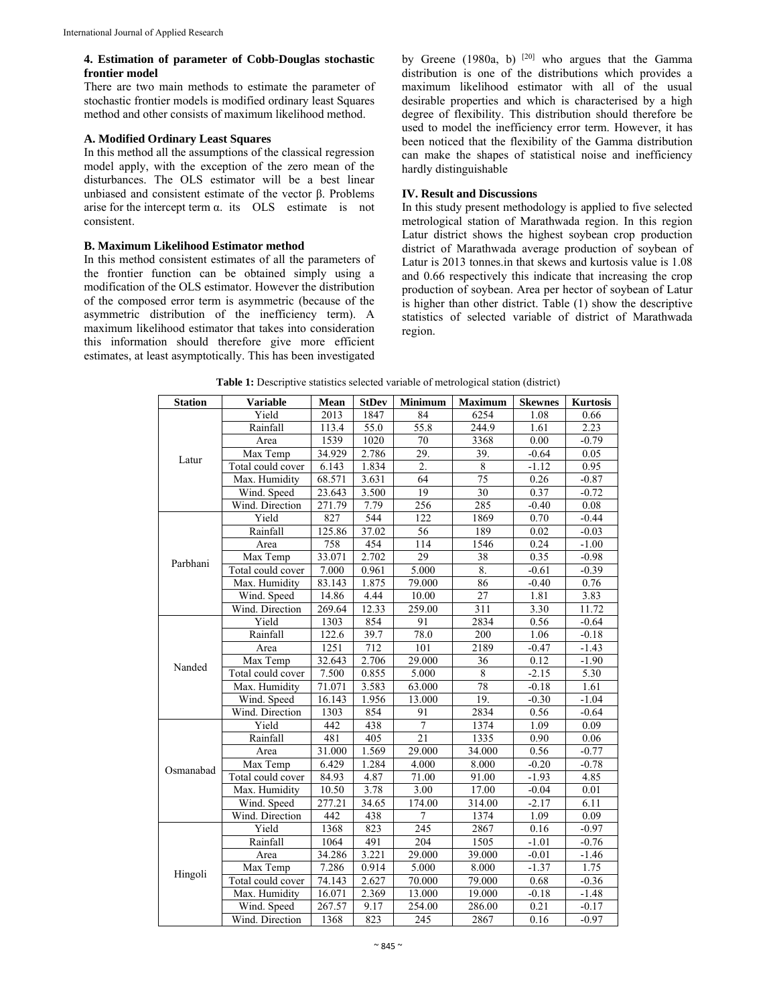#### **4. Estimation of parameter of Cobb-Douglas stochastic frontier model**

There are two main methods to estimate the parameter of stochastic frontier models is modified ordinary least Squares method and other consists of maximum likelihood method.

# **A. Modified Ordinary Least Squares**

In this method all the assumptions of the classical regression model apply, with the exception of the zero mean of the disturbances. The OLS estimator will be a best linear unbiased and consistent estimate of the vector β. Problems arise for the intercept term  $\alpha$ . its OLS estimate is not consistent.

# **B. Maximum Likelihood Estimator method**

In this method consistent estimates of all the parameters of the frontier function can be obtained simply using a modification of the OLS estimator. However the distribution of the composed error term is asymmetric (because of the asymmetric distribution of the inefficiency term). A maximum likelihood estimator that takes into consideration this information should therefore give more efficient estimates, at least asymptotically. This has been investigated by Greene (1980a, b)  $[20]$  who argues that the Gamma distribution is one of the distributions which provides a maximum likelihood estimator with all of the usual desirable properties and which is characterised by a high degree of flexibility. This distribution should therefore be used to model the inefficiency error term. However, it has been noticed that the flexibility of the Gamma distribution can make the shapes of statistical noise and inefficiency hardly distinguishable

#### **IV. Result and Discussions**

In this study present methodology is applied to five selected metrological station of Marathwada region. In this region Latur district shows the highest soybean crop production district of Marathwada average production of soybean of Latur is 2013 tonnes.in that skews and kurtosis value is 1.08 and 0.66 respectively this indicate that increasing the crop production of soybean. Area per hector of soybean of Latur is higher than other district. Table (1) show the descriptive statistics of selected variable of district of Marathwada region.

| <b>Station</b> | <b>Variable</b>   | Mean   | <b>StDev</b> | <b>Minimum</b>                                                                                                                                                                                                                                                                                                                                                                                                                                                                                          | <b>Maximum</b> | <b>Skewnes</b> | <b>Kurtosis</b> |
|----------------|-------------------|--------|--------------|---------------------------------------------------------------------------------------------------------------------------------------------------------------------------------------------------------------------------------------------------------------------------------------------------------------------------------------------------------------------------------------------------------------------------------------------------------------------------------------------------------|----------------|----------------|-----------------|
|                | Yield             | 2013   | 1847         | 84                                                                                                                                                                                                                                                                                                                                                                                                                                                                                                      | 6254           | 1.08           | 0.66            |
|                | Rainfall          | 113.4  | 55.0         | 55.8                                                                                                                                                                                                                                                                                                                                                                                                                                                                                                    | 244.9          | 1.61           | 2.23            |
|                | Area              | 1539   | 1020         | 70                                                                                                                                                                                                                                                                                                                                                                                                                                                                                                      | 3368           | 0.00           | $-0.79$         |
|                | Max Temp          | 34.929 | 2.786        | 29.<br>39.<br>2.<br>8<br>75<br>64<br>19<br>30<br>256<br>285<br>122<br>1869<br>56<br>189<br>114<br>1546<br>29<br>38<br>5.000<br>8.<br>86<br>79.000<br>27<br>10.00<br>259.00<br>311<br>91<br>2834<br>78.0<br>200<br>101<br>2189<br>29.000<br>36<br>5.000<br>8<br>63.000<br>78<br>19.<br>13.000<br>2834<br>91<br>7<br>1374<br>$\overline{21}$<br>1335<br>29.000<br>34.000<br>4.000<br>8.000<br>71.00<br>91.00<br>3.00<br>17.00<br>174.00<br>314.00<br>$\overline{7}$<br>1374<br>245<br>2867<br>204<br>1505 |                | 0.05           |                 |
| Latur          | Total could cover | 6.143  | 1.834        |                                                                                                                                                                                                                                                                                                                                                                                                                                                                                                         |                | $-1.12$        | 0.95            |
|                | Max. Humidity     | 68.571 | 3.631        |                                                                                                                                                                                                                                                                                                                                                                                                                                                                                                         |                |                | $-0.87$         |
|                | Wind. Speed       | 23.643 | 3.500        | $-0.64$<br>0.26<br>0.37<br>$-0.40$<br>0.70<br>0.02<br>0.24<br>0.35<br>$-0.61$<br>$-0.40$<br>1.81<br>3.30<br>0.56<br>1.06<br>$-0.47$<br>0.12<br>$-2.15$<br>$-0.18$<br>$-0.30$<br>0.56<br>1.09<br>0.90<br>0.56<br>$-0.20$<br>$-1.93$<br>$-0.04$<br>$-2.17$<br>1.09<br>0.16<br>$-1.01$<br>29.000<br>39.000<br>$-0.01$<br>$-1.37$<br>5.000<br>8.000<br>$\frac{1}{70.000}$<br>79.000<br>0.68<br>13.000<br>19.000<br>$-0.18$<br>0.21<br>254.00<br>286.00<br>245<br>0.16                                       | $-0.72$        |                |                 |
|                | Wind. Direction   | 271.79 | 7.79         |                                                                                                                                                                                                                                                                                                                                                                                                                                                                                                         |                |                | 0.08            |
|                | Yield             | 827    | 544          |                                                                                                                                                                                                                                                                                                                                                                                                                                                                                                         |                |                | $-0.44$         |
|                | Rainfall          | 125.86 | 37.02        |                                                                                                                                                                                                                                                                                                                                                                                                                                                                                                         |                |                | $-0.03$         |
|                | Area              | 758    | 454          |                                                                                                                                                                                                                                                                                                                                                                                                                                                                                                         |                |                | $-1.00$         |
| Parbhani       | Max Temp          | 33.071 | 2.702        |                                                                                                                                                                                                                                                                                                                                                                                                                                                                                                         |                |                | $-0.98$         |
|                | Total could cover | 7.000  | 0.961        |                                                                                                                                                                                                                                                                                                                                                                                                                                                                                                         |                |                | $-0.39$         |
|                | Max. Humidity     | 83.143 | 1.875        |                                                                                                                                                                                                                                                                                                                                                                                                                                                                                                         |                |                | 0.76            |
|                | Wind. Speed       | 14.86  | 4.44         |                                                                                                                                                                                                                                                                                                                                                                                                                                                                                                         |                |                | 3.83            |
|                | Wind. Direction   | 269.64 | 12.33        |                                                                                                                                                                                                                                                                                                                                                                                                                                                                                                         |                |                | 11.72           |
|                | Yield             | 1303   | 854          |                                                                                                                                                                                                                                                                                                                                                                                                                                                                                                         |                |                | $-0.64$         |
|                | Rainfall          | 122.6  | 39.7         |                                                                                                                                                                                                                                                                                                                                                                                                                                                                                                         |                |                | $-0.18$         |
|                | Area              | 1251   | 712          |                                                                                                                                                                                                                                                                                                                                                                                                                                                                                                         |                |                | $-1.43$         |
|                | Max Temp          | 32.643 | 2.706        |                                                                                                                                                                                                                                                                                                                                                                                                                                                                                                         |                |                | $-1.90$         |
| Nanded         | Total could cover | 7.500  | 0.855        |                                                                                                                                                                                                                                                                                                                                                                                                                                                                                                         |                |                | 5.30            |
|                | Max. Humidity     | 71.071 | 3.583        |                                                                                                                                                                                                                                                                                                                                                                                                                                                                                                         |                |                | 1.61            |
|                | Wind. Speed       | 16.143 | 1.956        |                                                                                                                                                                                                                                                                                                                                                                                                                                                                                                         |                |                | $-1.04$         |
|                | Wind. Direction   | 1303   | 854          |                                                                                                                                                                                                                                                                                                                                                                                                                                                                                                         |                |                | $-0.64$         |
|                | Yield             | 442    | 438          |                                                                                                                                                                                                                                                                                                                                                                                                                                                                                                         |                |                | 0.09            |
|                | Rainfall          | 481    | 405          |                                                                                                                                                                                                                                                                                                                                                                                                                                                                                                         |                |                | 0.06            |
|                | Area              | 31.000 | 1.569        |                                                                                                                                                                                                                                                                                                                                                                                                                                                                                                         |                |                | $-0.77$         |
| Osmanabad      | Max Temp          | 6.429  | 1.284        |                                                                                                                                                                                                                                                                                                                                                                                                                                                                                                         |                |                | $-0.78$         |
|                | Total could cover | 84.93  | 4.87         |                                                                                                                                                                                                                                                                                                                                                                                                                                                                                                         |                |                | 4.85            |
|                | Max. Humidity     | 10.50  | 3.78         |                                                                                                                                                                                                                                                                                                                                                                                                                                                                                                         |                |                | 0.01            |
|                | Wind. Speed       | 277.21 | 34.65        |                                                                                                                                                                                                                                                                                                                                                                                                                                                                                                         |                |                | 6.11            |
|                | Wind. Direction   | 442    | 438          |                                                                                                                                                                                                                                                                                                                                                                                                                                                                                                         |                |                | 0.09            |
|                | Yield             | 1368   | 823          |                                                                                                                                                                                                                                                                                                                                                                                                                                                                                                         |                |                | $-0.97$         |
|                | Rainfall          | 1064   | 491          |                                                                                                                                                                                                                                                                                                                                                                                                                                                                                                         |                |                | $-0.76$         |
|                | Area              | 34.286 | 3.221        |                                                                                                                                                                                                                                                                                                                                                                                                                                                                                                         |                |                | $-1.46$         |
|                | Max Temp          | 7.286  | 0.914        |                                                                                                                                                                                                                                                                                                                                                                                                                                                                                                         |                |                | 1.75            |
|                | Total could cover | 74.143 | 2.627        |                                                                                                                                                                                                                                                                                                                                                                                                                                                                                                         |                |                | $-0.36$         |
| Hingoli        | Max. Humidity     | 16.071 | 2.369        |                                                                                                                                                                                                                                                                                                                                                                                                                                                                                                         |                |                | $-1.48$         |
|                | Wind. Speed       | 267.57 | 9.17         |                                                                                                                                                                                                                                                                                                                                                                                                                                                                                                         |                |                | $-0.17$         |
|                | Wind. Direction   | 1368   | 823          |                                                                                                                                                                                                                                                                                                                                                                                                                                                                                                         | 2867           |                | $-0.97$         |

**Table 1:** Descriptive statistics selected variable of metrological station (district)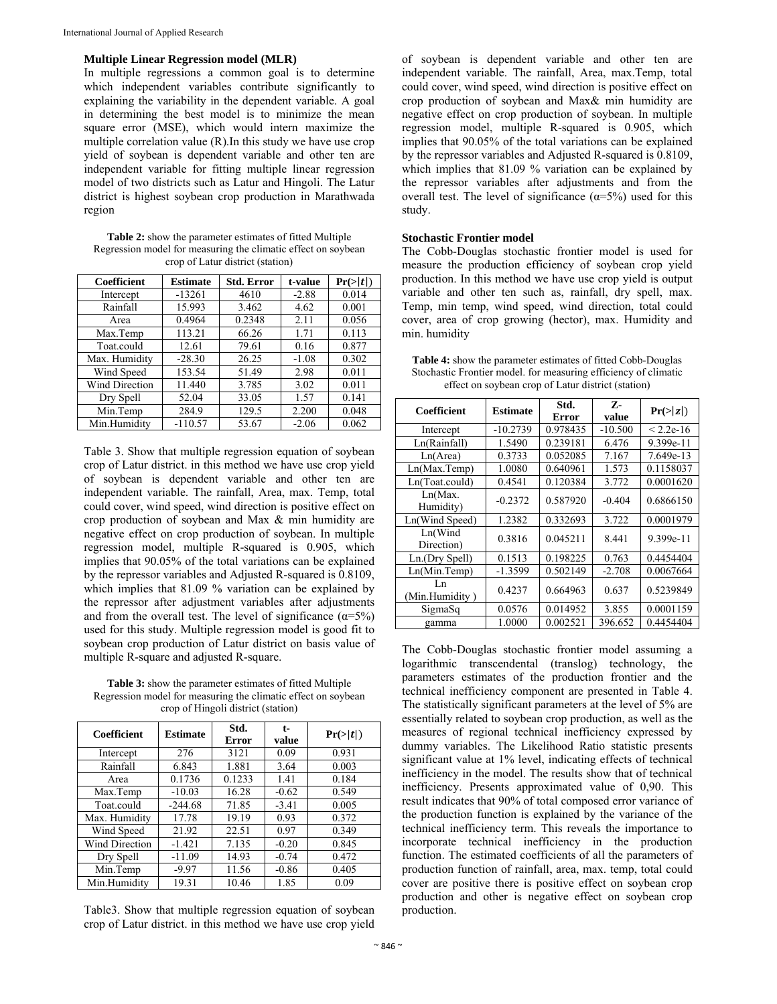#### **Multiple Linear Regression model (MLR)**

In multiple regressions a common goal is to determine which independent variables contribute significantly to explaining the variability in the dependent variable. A goal in determining the best model is to minimize the mean square error (MSE), which would intern maximize the multiple correlation value (R).In this study we have use crop yield of soybean is dependent variable and other ten are independent variable for fitting multiple linear regression model of two districts such as Latur and Hingoli. The Latur district is highest soybean crop production in Marathwada region

**Table 2:** show the parameter estimates of fitted Multiple Regression model for measuring the climatic effect on soybean crop of Latur district (station)

| <b>Coefficient</b> | <b>Estimate</b> | <b>Std. Error</b> | t-value | Pr(> t ) |
|--------------------|-----------------|-------------------|---------|----------|
| Intercept          | $-13261$        | 4610              | $-2.88$ | 0.014    |
| Rainfall           | 15.993          | 3.462             | 4.62    | 0.001    |
| Area               | 0.4964          | 0.2348            | 2.11    | 0.056    |
| Max.Temp           | 113.21          | 66.26             | 1.71    | 0.113    |
| Toat.could         | 12.61           | 79.61             | 0.16    | 0.877    |
| Max. Humidity      | $-28.30$        | 26.25             | $-1.08$ | 0.302    |
| Wind Speed         | 153.54          | 51.49             | 2.98    | 0.011    |
| Wind Direction     | 11.440          | 3.785             | 3.02    | 0.011    |
| Dry Spell          | 52.04           | 33.05             | 1.57    | 0.141    |
| Min.Temp           | 284.9           | 129.5             | 2.200   | 0.048    |
| Min.Humidity       | $-110.57$       | 53.67             | $-2.06$ | 0.062    |

Table 3. Show that multiple regression equation of soybean crop of Latur district. in this method we have use crop yield of soybean is dependent variable and other ten are independent variable. The rainfall, Area, max. Temp, total could cover, wind speed, wind direction is positive effect on crop production of soybean and Max & min humidity are negative effect on crop production of soybean. In multiple regression model, multiple R-squared is 0.905, which implies that 90.05% of the total variations can be explained by the repressor variables and Adjusted R-squared is 0.8109, which implies that 81.09 % variation can be explained by the repressor after adjustment variables after adjustments and from the overall test. The level of significance  $(\alpha = 5\%)$ used for this study. Multiple regression model is good fit to soybean crop production of Latur district on basis value of multiple R-square and adjusted R-square.

**Table 3:** show the parameter estimates of fitted Multiple Regression model for measuring the climatic effect on soybean crop of Hingoli district (station)

| Coefficient           | <b>Estimate</b> | Std.<br>Error | t-<br>value | Pr(> t ) |
|-----------------------|-----------------|---------------|-------------|----------|
| Intercept             | 276             | 3121          | 0.09        | 0.931    |
| Rainfall              | 6.843           | 1.881         | 3.64        | 0.003    |
| Area                  | 0.1736          | 0.1233        | 1.41        | 0.184    |
| Max.Temp              | $-10.03$        | 16.28         | $-0.62$     | 0.549    |
| Toat.could            | $-244.68$       | 71.85         | $-3.41$     | 0.005    |
| Max. Humidity         | 17.78           | 19.19         | 0.93        | 0.372    |
| Wind Speed            | 21.92           | 22.51         | 0.97        | 0.349    |
| <b>Wind Direction</b> | $-1.421$        | 7.135         | $-0.20$     | 0.845    |
| Dry Spell             | $-11.09$        | 14.93         | $-0.74$     | 0.472    |
| Min.Temp              | $-9.97$         | 11.56         | $-0.86$     | 0.405    |
| Min.Humidity          | 19.31           | 10.46         | 1.85        | 0.09     |

Table3. Show that multiple regression equation of soybean crop of Latur district. in this method we have use crop yield

of soybean is dependent variable and other ten are independent variable. The rainfall, Area, max.Temp, total could cover, wind speed, wind direction is positive effect on crop production of soybean and Max& min humidity are negative effect on crop production of soybean. In multiple regression model, multiple R-squared is 0.905, which implies that 90.05% of the total variations can be explained by the repressor variables and Adjusted R-squared is 0.8109, which implies that 81.09 % variation can be explained by the repressor variables after adjustments and from the overall test. The level of significance  $(\alpha = 5\%)$  used for this study.

#### **Stochastic Frontier model**

The Cobb-Douglas stochastic frontier model is used for measure the production efficiency of soybean crop yield production. In this method we have use crop yield is output variable and other ten such as, rainfall, dry spell, max. Temp, min temp, wind speed, wind direction, total could cover, area of crop growing (hector), max. Humidity and min. humidity

| <b>Table 4:</b> show the parameter estimates of fitted Cobb-Douglas |
|---------------------------------------------------------------------|
| Stochastic Frontier model, for measuring efficiency of climatic     |
| effect on soybean crop of Latur district (station)                  |

| Coefficient            | <b>Estimate</b> | Std.     | z-        | Pr(> z )    |
|------------------------|-----------------|----------|-----------|-------------|
|                        |                 | Error    | value     |             |
| Intercept              | $-10.2739$      | 0.978435 | $-10.500$ | $< 2.2e-16$ |
| Ln(Rainfall)           | 1.5490          | 0.239181 | 6.476     | 9.399e-11   |
| Ln(Area)               | 0.3733          | 0.052085 | 7.167     | 7.649e-13   |
| Ln(Max.Temp)           | 1.0080          | 0.640961 | 1.573     | 0.1158037   |
| Ln(Toat.could)         | 0.4541          | 0.120384 | 3.772     | 0.0001620   |
| Ln(Max.<br>Humidity)   | $-0.2372$       | 0.587920 | $-0.404$  | 0.6866150   |
| Ln(Wind Speed)         | 1.2382          | 0.332693 | 3.722     | 0.0001979   |
| Ln(Wind)<br>Direction) | 0.3816          | 0.045211 | 8.441     | $9.399e-11$ |
| Ln.(Dry Spell)         | 0.1513          | 0.198225 | 0.763     | 0.4454404   |
| Ln(Min.Temp)           | $-1.3599$       | 0.502149 | $-2.708$  | 0.0067664   |
| Ln<br>(Min.Humidity)   | 0.4237          | 0.664963 | 0.637     | 0.5239849   |
| SigmaSq                | 0.0576          | 0.014952 | 3.855     | 0.0001159   |
| gamma                  | 1.0000          | 0.002521 | 396.652   | 0.4454404   |

The Cobb-Douglas stochastic frontier model assuming a logarithmic transcendental (translog) technology, the parameters estimates of the production frontier and the technical inefficiency component are presented in Table 4. The statistically significant parameters at the level of 5% are essentially related to soybean crop production, as well as the measures of regional technical inefficiency expressed by dummy variables. The Likelihood Ratio statistic presents significant value at 1% level, indicating effects of technical inefficiency in the model. The results show that of technical inefficiency. Presents approximated value of 0,90. This result indicates that 90% of total composed error variance of the production function is explained by the variance of the technical inefficiency term. This reveals the importance to incorporate technical inefficiency in the production function. The estimated coefficients of all the parameters of production function of rainfall, area, max. temp, total could cover are positive there is positive effect on soybean crop production and other is negative effect on soybean crop production.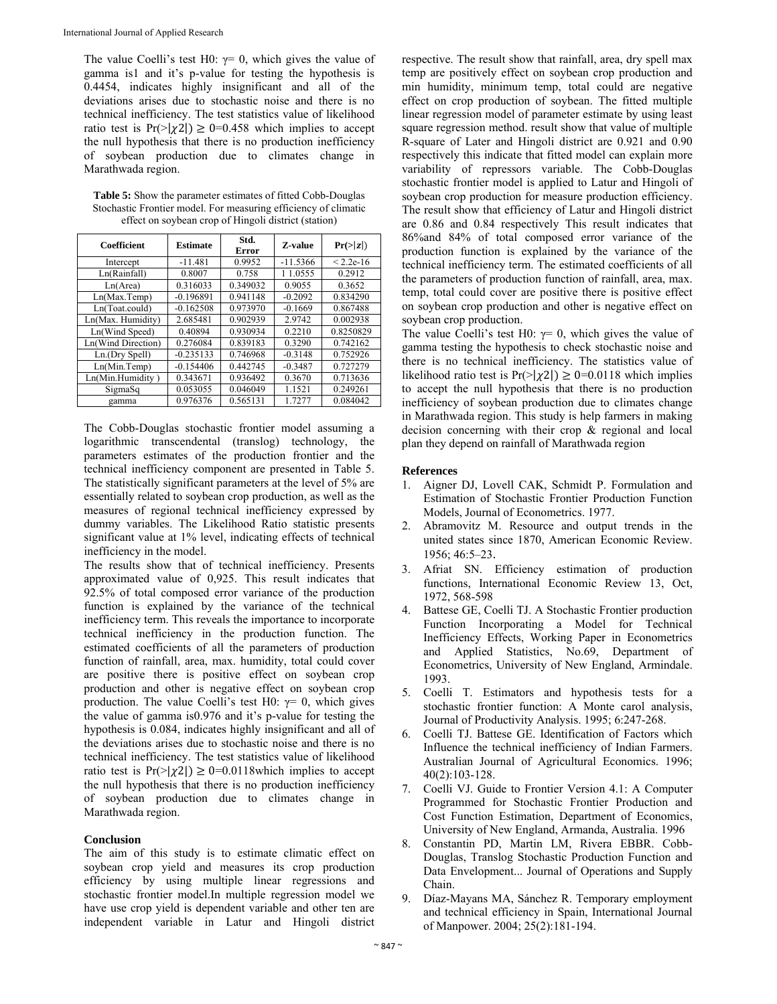The value Coelli's test H0:  $\gamma = 0$ , which gives the value of gamma is1 and it's p-value for testing the hypothesis is 0.4454, indicates highly insignificant and all of the deviations arises due to stochastic noise and there is no technical inefficiency. The test statistics value of likelihood ratio test is  $Pr(\geq |\chi_2|) \geq 0 = 0.458$  which implies to accept the null hypothesis that there is no production inefficiency of soybean production due to climates change in Marathwada region.

**Table 5:** Show the parameter estimates of fitted Cobb-Douglas Stochastic Frontier model. For measuring efficiency of climatic effect on soybean crop of Hingoli district (station)

| Coefficient        | <b>Estimate</b> | Std.<br>Error | <b>Z-value</b> | Pr(> z )    |
|--------------------|-----------------|---------------|----------------|-------------|
| Intercept          | $-11.481$       | 0.9952        | $-11.5366$     | $< 2.2e-16$ |
| Ln(Rainfall)       | 0.8007          | 0.758         | 1 1.0555       | 0.2912      |
| Ln(Area)           | 0.316033        | 0.349032      | 0.9055         | 0.3652      |
| Ln(Max.Temp)       | $-0.196891$     | 0.941148      | $-0.2092$      | 0.834290    |
| Ln(Toat.could)     | $-0.162508$     | 0.973970      | $-0.1669$      | 0.867488    |
| Ln(Max. Humidity)  | 2.685481        | 0.902939      | 2.9742         | 0.002938    |
| Ln(Wind Speed)     | 0.40894         | 0.930934      | 0.2210         | 0.8250829   |
| Ln(Wind Direction) | 0.276084        | 0.839183      | 0.3290         | 0.742162    |
| Ln.(Dry Spell)     | $-0.235133$     | 0.746968      | $-0.3148$      | 0.752926    |
| Ln(Min.Temp)       | $-0.154406$     | 0.442745      | $-0.3487$      | 0.727279    |
| Ln(Min.Humidity)   | 0.343671        | 0.936492      | 0.3670         | 0.713636    |
| SigmaSq            | 0.053055        | 0.046049      | 1.1521         | 0.249261    |
| gamma              | 0.976376        | 0.565131      | 1.7277         | 0.084042    |

The Cobb-Douglas stochastic frontier model assuming a logarithmic transcendental (translog) technology, the parameters estimates of the production frontier and the technical inefficiency component are presented in Table 5. The statistically significant parameters at the level of 5% are essentially related to soybean crop production, as well as the measures of regional technical inefficiency expressed by dummy variables. The Likelihood Ratio statistic presents significant value at 1% level, indicating effects of technical inefficiency in the model.

The results show that of technical inefficiency. Presents approximated value of 0,925. This result indicates that 92.5% of total composed error variance of the production function is explained by the variance of the technical inefficiency term. This reveals the importance to incorporate technical inefficiency in the production function. The estimated coefficients of all the parameters of production function of rainfall, area, max. humidity, total could cover are positive there is positive effect on soybean crop production and other is negative effect on soybean crop production. The value Coelli's test H0:  $\gamma = 0$ , which gives the value of gamma is0.976 and it's p-value for testing the hypothesis is 0.084, indicates highly insignificant and all of the deviations arises due to stochastic noise and there is no technical inefficiency. The test statistics value of likelihood ratio test is  $Pr(\geq |\chi|) \geq 0 = 0.0118$  which implies to accept the null hypothesis that there is no production inefficiency of soybean production due to climates change in Marathwada region.

# **Conclusion**

The aim of this study is to estimate climatic effect on soybean crop yield and measures its crop production efficiency by using multiple linear regressions and stochastic frontier model.In multiple regression model we have use crop yield is dependent variable and other ten are independent variable in Latur and Hingoli district

respective. The result show that rainfall, area, dry spell max temp are positively effect on soybean crop production and min humidity, minimum temp, total could are negative effect on crop production of soybean. The fitted multiple linear regression model of parameter estimate by using least square regression method. result show that value of multiple R-square of Later and Hingoli district are 0.921 and 0.90 respectively this indicate that fitted model can explain more variability of repressors variable. The Cobb-Douglas stochastic frontier model is applied to Latur and Hingoli of soybean crop production for measure production efficiency. The result show that efficiency of Latur and Hingoli district are 0.86 and 0.84 respectively This result indicates that 86%and 84% of total composed error variance of the production function is explained by the variance of the technical inefficiency term. The estimated coefficients of all the parameters of production function of rainfall, area, max. temp, total could cover are positive there is positive effect on soybean crop production and other is negative effect on soybean crop production.

The value Coelli's test H0:  $\gamma = 0$ , which gives the value of gamma testing the hypothesis to check stochastic noise and there is no technical inefficiency. The statistics value of likelihood ratio test is  $Pr(\geq |\chi^2|) \geq 0 = 0.0118$  which implies to accept the null hypothesis that there is no production inefficiency of soybean production due to climates change in Marathwada region. This study is help farmers in making decision concerning with their crop & regional and local plan they depend on rainfall of Marathwada region

# **References**

- 1. Aigner DJ, Lovell CAK, Schmidt P. Formulation and Estimation of Stochastic Frontier Production Function Models, Journal of Econometrics. 1977.
- 2. Abramovitz M. Resource and output trends in the united states since 1870, American Economic Review. 1956; 46:5–23.
- 3. Afriat SN. Efficiency estimation of production functions, International Economic Review 13, Oct, 1972, 568-598
- 4. Battese GE, Coelli TJ. A Stochastic Frontier production Function Incorporating a Model for Technical Inefficiency Effects, Working Paper in Econometrics and Applied Statistics, No.69, Department of Econometrics, University of New England, Armindale. 1993.
- 5. Coelli T. Estimators and hypothesis tests for a stochastic frontier function: A Monte carol analysis, Journal of Productivity Analysis. 1995; 6:247-268.
- 6. Coelli TJ. Battese GE. Identification of Factors which Influence the technical inefficiency of Indian Farmers. Australian Journal of Agricultural Economics. 1996; 40(2):103-128.
- 7. Coelli VJ. Guide to Frontier Version 4.1: A Computer Programmed for Stochastic Frontier Production and Cost Function Estimation, Department of Economics, University of New England, Armanda, Australia. 1996
- Constantin PD, Martin LM, Rivera EBBR. Cobb-Douglas, Translog Stochastic Production Function and Data Envelopment... Journal of Operations and Supply Chain.
- 9. Díaz-Mayans MA, Sánchez R. Temporary employment and technical efficiency in Spain, International Journal of Manpower. 2004; 25(2):181-194.